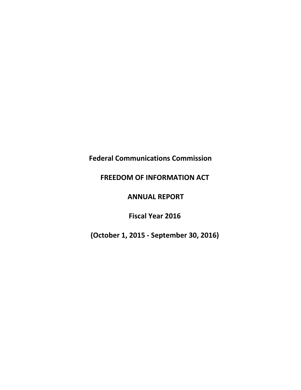# **Federal Communications Commission**

# **FREEDOM OF INFORMATION ACT**

# **ANNUAL REPORT**

# **Fiscal Year 2016**

**(October 1, 2015 - September 30, 2016)**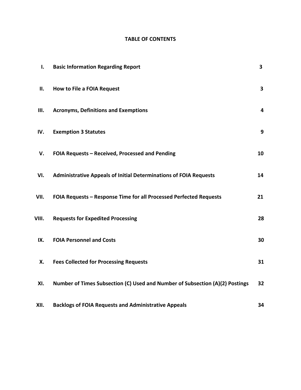### **TABLE OF CONTENTS**

| I.    | <b>Basic Information Regarding Report</b>                                    | $\mathbf{3}$            |
|-------|------------------------------------------------------------------------------|-------------------------|
| ΙΙ.   | <b>How to File a FOIA Request</b>                                            | 3                       |
| Ш.    | <b>Acronyms, Definitions and Exemptions</b>                                  | $\overline{\mathbf{4}}$ |
| IV.   | <b>Exemption 3 Statutes</b>                                                  | 9                       |
| V.    | FOIA Requests - Received, Processed and Pending                              | 10                      |
| VI.   | <b>Administrative Appeals of Initial Determinations of FOIA Requests</b>     | 14                      |
| VII.  | FOIA Requests - Response Time for all Processed Perfected Requests           | 21                      |
| VIII. | <b>Requests for Expedited Processing</b>                                     | 28                      |
| IX.   | <b>FOIA Personnel and Costs</b>                                              | 30                      |
| Х.    | <b>Fees Collected for Processing Requests</b>                                | 31                      |
| XI.   | Number of Times Subsection (C) Used and Number of Subsection (A)(2) Postings | 32                      |
| XII.  | <b>Backlogs of FOIA Requests and Administrative Appeals</b>                  | 34                      |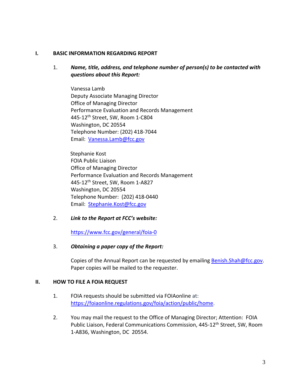#### **I. BASIC INFORMATION REGARDING REPORT**

#### 1. *Name, title, address, and telephone number of person(s) to be contacted with questions about this Report:*

Vanessa Lamb Deputy Associate Managing Director Office of Managing Director Performance Evaluation and Records Management 445-12th Street, SW, Room 1-C804 Washington, DC 20554 Telephone Number: (202) 418-7044 Email: [Vanessa.Lamb@fcc.gov](mailto:Vanessa.Lamb@fcc.gov)

 Stephanie Kost FOIA Public Liaison Office of Managing Director Performance Evaluation and Records Management 445-12th Street, SW, Room 1-A827 Washington, DC 20554 Telephone Number: (202) 418-0440 Email: [Stephanie.Kost@fcc.gov](mailto:Stephanie.Kost@fcc.gov)

#### 2. *Link to the Report at FCC's website:*

<https://www.fcc.gov/general/foia-0>

#### 3. *Obtaining a paper copy of the Report:*

Copies of the Annual Report can be requested by emailing [Benish.Shah@fcc.gov.](mailto:Benish.Shah@fcc.gov) Paper copies will be mailed to the requester.

#### **II. HOW TO FILE A FOIA REQUEST**

- 1. FOIA requests should be submitted via FOIAonline at: [https://foiaonline.regulations.gov/foia/action/public/home.](https://foiaonline.regulations.gov/foia/action/public/home)
- 2. You may mail the request to the Office of Managing Director; Attention: FOIA Public Liaison, Federal Communications Commission, 445-12th Street, SW, Room 1-A836, Washington, DC 20554.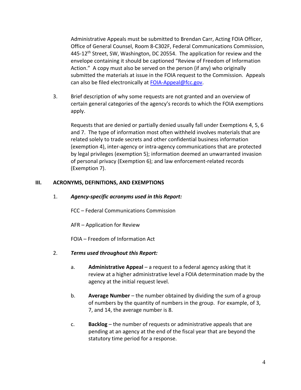Administrative Appeals must be submitted to Brendan Carr, Acting FOIA Officer, Office of General Counsel, Room 8-C302F, Federal Communications Commission, 445-12<sup>th</sup> Street, SW, Washington, DC 20554. The application for review and the envelope containing it should be captioned "Review of Freedom of Information Action." A copy must also be served on the person (if any) who originally submitted the materials at issue in the FOIA request to the Commission. Appeals can also be filed electronically at [FOIA-Appeal@fcc.gov.](mailto:FOIA-Appeal@fcc.gov)

3. Brief description of why some requests are not granted and an overview of certain general categories of the agency's records to which the FOIA exemptions apply.

Requests that are denied or partially denied usually fall under Exemptions 4, 5, 6 and 7. The type of information most often withheld involves materials that are related solely to trade secrets and other confidential business information (exemption 4), inter-agency or intra-agency communications that are protected by legal privileges (exemption 5); information deemed an unwarranted invasion of personal privacy (Exemption 6); and law enforcement-related records (Exemption 7).

#### **III. ACRONYMS, DEFINITIONS, AND EXEMPTIONS**

1. *Agency-specific acronyms used in this Report:*

FCC – Federal Communications Commission

AFR – Application for Review

FOIA – Freedom of Information Act

- 2. *Terms used throughout this Report:*
	- a. **Administrative Appeal** a request to a federal agency asking that it review at a higher administrative level a FOIA determination made by the agency at the initial request level.
	- b. **Average Number** the number obtained by dividing the sum of a group of numbers by the quantity of numbers in the group. For example, of 3, 7, and 14, the average number is 8.
	- c. **Backlog** the number of requests or administrative appeals that are pending at an agency at the end of the fiscal year that are beyond the statutory time period for a response.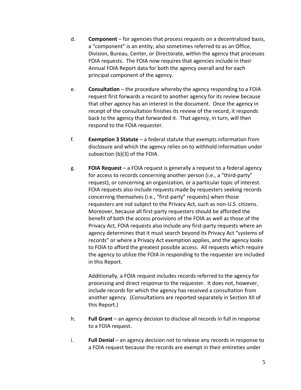- d. **Component** for agencies that process requests on a decentralized basis, a "component" is an entity, also sometimes referred to as an Office, Division, Bureau, Center, or Directorate, within the agency that processes FOIA requests. The FOIA now requires that agencies include in their Annual FOIA Report data for both the agency overall and for each principal component of the agency.
- e. **Consultation** the procedure whereby the agency responding to a FOIA request first forwards a record to another agency for its review because that other agency has an interest in the document. Once the agency in receipt of the consultation finishes its review of the record, it responds back to the agency that forwarded it. That agency, in turn, will then respond to the FOIA requester.
- f. **Exemption 3 Statute** a federal statute that exempts information from disclosure and which the agency relies on to withhold information under subsection (b)(3) of the FOIA.
- g. **FOIA Request** a FOIA request is generally a request to a federal agency for access to records concerning another person (i.e., a "third-party" request), or concerning an organization, or a particular topic of interest. FOIA requests also include requests made by requesters seeking records concerning themselves (i.e., "first-party" requests) when those requesters are not subject to the Privacy Act, such as non-U.S. citizens. Moreover, because all first-party requesters should be afforded the benefit of both the access provisions of the FOIA as well as those of the Privacy Act, FOIA requests also include any first-party requests where an agency determines that it must search beyond its Privacy Act "systems of records" or where a Privacy Act exemption applies, and the agency looks to FOIA to afford the greatest possible access. All requests which require the agency to utilize the FOIA in responding to the requester are included in this Report.

Additionally, a FOIA request includes records referred to the agency for processing and direct response to the requester. It does not, however, include records for which the agency has received a consultation from another agency. (Consultations are reported separately in Section XII of this Report.)

- h. **Full Grant** an agency decision to disclose all records in full in response to a FOIA request.
- i. **Full Denial** an agency decision not to release any records in response to a FOIA request because the records are exempt in their entireties under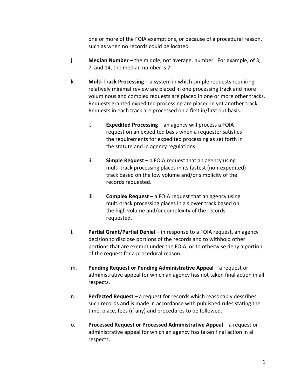one or more of the FOIA exemptions, or because of a procedural reason, such as when no records could be located.

- j. **Median Number** the middle, not average, number. For example, of 3, 7, and 14, the median number is 7.
- k. **Multi-Track Processing** a system in which simple requests requiring relatively minimal review are placed in one processing track and more voluminous and complex requests are placed in one or more other tracks. Requests granted expedited processing are placed in yet another track. Requests in each track are processed on a first in/first out basis.
	- i. **Expedited Processing** an agency will process a FOIA request on an expedited basis when a requester satisfies the requirements for expedited processing as set forth in the statute and in agency regulations.
	- ii. **Simple Request** a FOIA request that an agency using multi-track processing places in its fastest (non-expedited) track based on the low volume and/or simplicity of the records requested.
	- iii. **Complex Request** a FOIA request that an agency using multi-track processing places in a slower track based on the high volume and/or complexity of the records requested.
- l. **Partial Grant/Partial Denial** in response to a FOIA request, an agency decision to disclose portions of the records and to withhold other portions that are exempt under the FOIA, or to otherwise deny a portion of the request for a procedural reason.
- m. **Pending Request or Pending Administrative Appeal** a request or administrative appeal for which an agency has not taken final action in all respects.
- n. **Perfected Request** a request for records which reasonably describes such records and is made in accordance with published rules stating the time, place, fees (if any) and procedures to be followed.
- o. **Processed Request or Processed Administrative Appeal** a request or administrative appeal for which an agency has taken final action in all respects.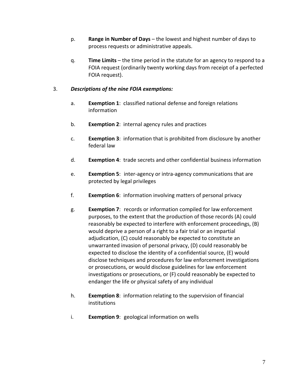- p. **Range in Number of Days** the lowest and highest number of days to process requests or administrative appeals.
- q. **Time Limits** the time period in the statute for an agency to respond to a FOIA request (ordinarily twenty working days from receipt of a perfected FOIA request).

#### 3. *Descriptions of the nine FOIA exemptions:*

- a. **Exemption 1**: classified national defense and foreign relations information
- b. **Exemption 2**: internal agency rules and practices
- c. **Exemption 3**: information that is prohibited from disclosure by another federal law
- d. **Exemption 4**: trade secrets and other confidential business information
- e. **Exemption 5**: inter-agency or intra-agency communications that are protected by legal privileges
- f. **Exemption 6**: information involving matters of personal privacy
- g. **Exemption 7**: records or information compiled for law enforcement purposes, to the extent that the production of those records (A) could reasonably be expected to interfere with enforcement proceedings, (B) would deprive a person of a right to a fair trial or an impartial adjudication, (C) could reasonably be expected to constitute an unwarranted invasion of personal privacy, (D) could reasonably be expected to disclose the identity of a confidential source, (E) would disclose techniques and procedures for law enforcement investigations or prosecutions, or would disclose guidelines for law enforcement investigations or prosecutions, or (F) could reasonably be expected to endanger the life or physical safety of any individual
- h. **Exemption 8**: information relating to the supervision of financial institutions
- i. **Exemption 9**: geological information on wells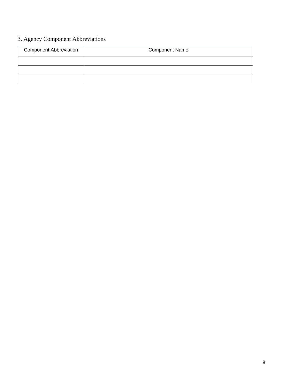# 3. Agency Component Abbreviations

| <b>Component Abbreviation</b> | <b>Component Name</b> |  |  |  |  |  |  |  |
|-------------------------------|-----------------------|--|--|--|--|--|--|--|
|                               |                       |  |  |  |  |  |  |  |
|                               |                       |  |  |  |  |  |  |  |
|                               |                       |  |  |  |  |  |  |  |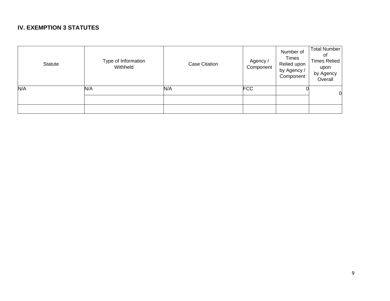### **IV. EXEMPTION 3 STATUTES**

| Statute | Type of Information<br>Withheld | <b>Case Citation</b> | Agency /<br>Component | Number of<br><b>Times</b><br>Relied upon<br>by Agency /<br>Component | <b>Total Number</b><br>Οl<br><b>Times Relied</b><br>upon<br>by Agency<br>Overall |
|---------|---------------------------------|----------------------|-----------------------|----------------------------------------------------------------------|----------------------------------------------------------------------------------|
| N/A     | N/A                             | N/A                  | <b>FCC</b>            |                                                                      | $\overline{0}$                                                                   |
|         |                                 |                      |                       |                                                                      |                                                                                  |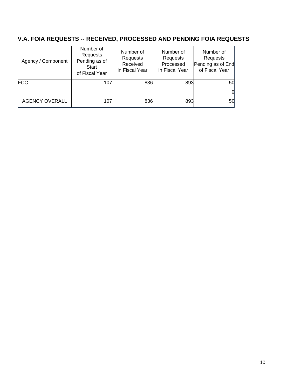# **V.A. FOIA REQUESTS -- RECEIVED, PROCESSED AND PENDING FOIA REQUESTS**

| Agency / Component    | Number of<br>Requests<br>Pending as of<br>Start<br>of Fiscal Year | Number of<br>Requests<br>Received<br>in Fiscal Year | Number of<br>Requests<br>Processed<br>in Fiscal Year | Number of<br>Requests<br>Pending as of End<br>of Fiscal Year |
|-----------------------|-------------------------------------------------------------------|-----------------------------------------------------|------------------------------------------------------|--------------------------------------------------------------|
| <b>FCC</b>            | 107                                                               | 836                                                 | 893                                                  | 50                                                           |
|                       |                                                                   |                                                     |                                                      |                                                              |
| <b>AGENCY OVERALL</b> | 107                                                               | 836                                                 | 893                                                  | 50                                                           |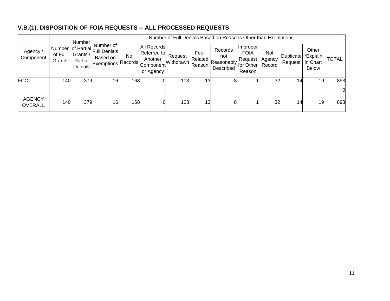# **V.B.(1). DISPOSITION OF FOIA REQUESTS -- ALL PROCESSED REQUESTS**

| Agency /<br>Component           | of Full<br>Grants | Number<br>Grants /<br>Partial<br>Denials | Number of<br>Number of Partial Full Denials<br>Based on<br><b>Exemptions Records</b> |           | Number of Full Denials Based on Reasons Other than Exemptions          |                      |                           |                                           |                                                                      |                         |                             |                                               |              |  |
|---------------------------------|-------------------|------------------------------------------|--------------------------------------------------------------------------------------|-----------|------------------------------------------------------------------------|----------------------|---------------------------|-------------------------------------------|----------------------------------------------------------------------|-------------------------|-----------------------------|-----------------------------------------------|--------------|--|
|                                 |                   |                                          |                                                                                      | <b>No</b> | <b>All Records</b><br>Referred to<br>Another<br>Component<br>or Agency | Request<br>Withdrawn | Fee-<br>Related<br>Reason | Records<br>not<br>Reasonably<br>Described | <i>I</i> Improper<br><b>FOIA</b><br>Request  <br>for Other<br>Reason | Not<br>Agency<br>Record | <b>Duplicate</b><br>Request | Other<br>*Explain<br>in Chart<br><b>Below</b> | <b>TOTAL</b> |  |
| <b>FCC</b>                      | 140               | 379                                      | 16                                                                                   | 168       |                                                                        | 103                  | 13                        |                                           |                                                                      | 32                      | 14                          | 19                                            | 893          |  |
|                                 |                   |                                          |                                                                                      |           |                                                                        |                      |                           |                                           |                                                                      |                         |                             |                                               |              |  |
| <b>AGENCY</b><br><b>OVERALL</b> | 140               | 379                                      | 16                                                                                   | 168       |                                                                        | 103                  | 13                        |                                           |                                                                      | 32                      | 14                          | 19                                            | 893          |  |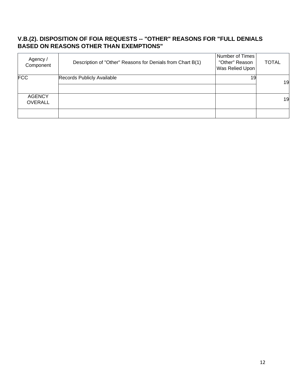#### **V.B.(2). DISPOSITION OF FOIA REQUESTS -- "OTHER" REASONS FOR "FULL DENIALS BASED ON REASONS OTHER THAN EXEMPTIONS"**

| Agency /<br>Component           | Description of "Other" Reasons for Denials from Chart B(1) | Number of Times<br>"Other" Reason<br>Was Relied Upon | <b>TOTAL</b> |
|---------------------------------|------------------------------------------------------------|------------------------------------------------------|--------------|
| <b>FCC</b>                      | Records Publicly Available                                 | 19                                                   | 19           |
| <b>AGENCY</b><br><b>OVERALL</b> |                                                            |                                                      | 19           |
|                                 |                                                            |                                                      |              |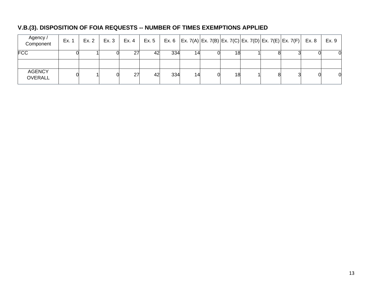# **V.B.(3). DISPOSITION OF FOIA REQUESTS -- NUMBER OF TIMES EXEMPTIONS APPLIED**

| Agency /<br>Component           | Ex. 1 | Ex. 2 | Ex. 3 | Ex. 4 | Ex. 5 |     |    |    |  | Ex. 6 $ Ex. 7(A) Ex. 7(B) Ex. 7(C) Ex. 7(D) Ex. 7(E) Ex. 7(F)  Ex. 8$ | Ex. 9 |
|---------------------------------|-------|-------|-------|-------|-------|-----|----|----|--|-----------------------------------------------------------------------|-------|
| <b>FCC</b>                      |       |       |       |       | 42    | 334 | 14 | 18 |  |                                                                       | O.    |
| <b>AGENCY</b><br><b>OVERALL</b> |       |       |       | 27    | 42    | 334 | 14 | 18 |  |                                                                       | 0     |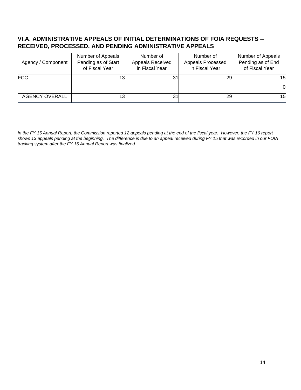#### **VI.A. ADMINISTRATIVE APPEALS OF INITIAL DETERMINATIONS OF FOIA REQUESTS -- RECEIVED, PROCESSED, AND PENDING ADMINISTRATIVE APPEALS**

| Agency / Component    | Number of Appeals<br>Pending as of Start<br>of Fiscal Year | Number of<br>Appeals Received<br>in Fiscal Year | Number of<br>Appeals Processed<br>in Fiscal Year | Number of Appeals<br>Pending as of End<br>of Fiscal Year |
|-----------------------|------------------------------------------------------------|-------------------------------------------------|--------------------------------------------------|----------------------------------------------------------|
| <b>FCC</b>            |                                                            | 31                                              |                                                  | 15                                                       |
|                       |                                                            |                                                 |                                                  |                                                          |
| <b>AGENCY OVERALL</b> |                                                            | 31                                              | 29                                               | 15                                                       |

*In the FY 15 Annual Report, the Commission reported 12 appeals pending at the end of the fiscal year. However, the FY 16 report shows 13 appeals pending at the beginning. The difference is due to an appeal received during FY 15 that was recorded in our FOIA tracking system after the FY 15 Annual Report was finalized.*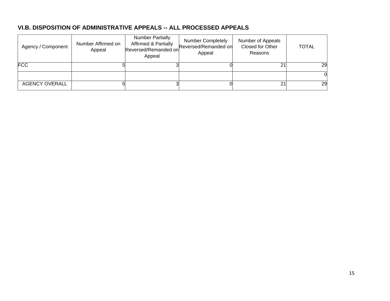### **VI.B. DISPOSITION OF ADMINISTRATIVE APPEALS -- ALL PROCESSED APPEALS**

| Agency / Component    | Number Affirmed on<br>Appeal | <b>Number Partially</b><br><b>Affirmed &amp; Partially</b><br>Reversed/Remanded on<br>Appeal | <b>Number Completely</b><br>Reversed/Remanded on<br>Appeal | Number of Appeals<br>Closed for Other<br>Reasons | TOTAL |
|-----------------------|------------------------------|----------------------------------------------------------------------------------------------|------------------------------------------------------------|--------------------------------------------------|-------|
| <b>FCC</b>            |                              |                                                                                              |                                                            | 21                                               | 29    |
|                       |                              |                                                                                              |                                                            |                                                  |       |
| <b>AGENCY OVERALL</b> |                              |                                                                                              |                                                            | 21                                               | 29    |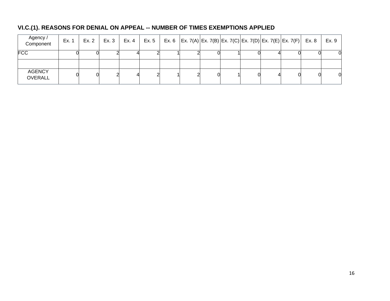# **VI.C.(1). REASONS FOR DENIAL ON APPEAL -- NUMBER OF TIMES EXEMPTIONS APPLIED**

| Agency /<br>Component           | Ex. 1 | Ex. 2 | Ex. 3 | Ex. 4 | Ex. 5 |  |  |  | Ex. 6   Ex. 7(A)   Ex. 7(B)   Ex. 7(C)   Ex. 7(D)   Ex. 7(E)   Ex. 7(F)   Ex. 8 | Ex. 9 |
|---------------------------------|-------|-------|-------|-------|-------|--|--|--|---------------------------------------------------------------------------------|-------|
| <b>FCC</b>                      |       |       |       |       |       |  |  |  |                                                                                 |       |
|                                 |       |       |       |       |       |  |  |  |                                                                                 |       |
| <b>AGENCY</b><br><b>OVERALL</b> |       |       |       |       |       |  |  |  |                                                                                 | 0     |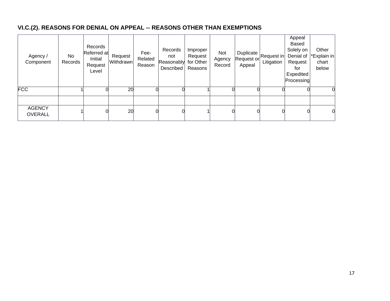# **VI.C.(2). REASONS FOR DENIAL ON APPEAL -- REASONS OTHER THAN EXEMPTIONS**

| Agency /<br>Component           | No<br>Records | Records<br>Referred at<br>Initial<br>Request<br>Level | Request<br>Withdrawn | Fee-<br>Related<br>Reason | Records<br>not<br>Reasonably for Other<br>Described | Improper<br>Request<br>Reasons | Not<br>Agency<br>Record | Duplicate<br>Request or<br>Appeal | Request in<br>Litigation | Appeal<br>Based<br>Solely on<br>Denial of<br>Request<br>for<br>Expedited<br>Processing | Other<br>*Explain in<br>chart<br>below |
|---------------------------------|---------------|-------------------------------------------------------|----------------------|---------------------------|-----------------------------------------------------|--------------------------------|-------------------------|-----------------------------------|--------------------------|----------------------------------------------------------------------------------------|----------------------------------------|
| <b>FCC</b>                      |               |                                                       | 20                   |                           |                                                     |                                |                         |                                   |                          |                                                                                        | 0                                      |
|                                 |               |                                                       |                      |                           |                                                     |                                |                         |                                   |                          |                                                                                        |                                        |
| <b>AGENCY</b><br><b>OVERALL</b> |               | 0                                                     | 20                   |                           |                                                     |                                |                         |                                   |                          |                                                                                        | 0                                      |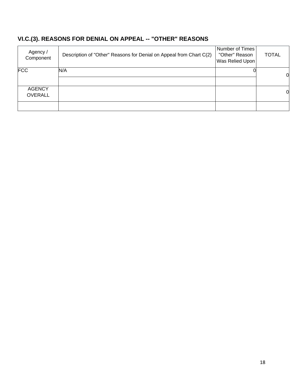# **VI.C.(3). REASONS FOR DENIAL ON APPEAL -- "OTHER" REASONS**

| Agency /<br>Component           | Description of "Other" Reasons for Denial on Appeal from Chart C(2) | Number of Times<br>"Other" Reason<br>Was Relied Upon | <b>TOTAL</b> |
|---------------------------------|---------------------------------------------------------------------|------------------------------------------------------|--------------|
| <b>FCC</b>                      | N/A                                                                 |                                                      | 0            |
| <b>AGENCY</b><br><b>OVERALL</b> |                                                                     |                                                      | 0            |
|                                 |                                                                     |                                                      |              |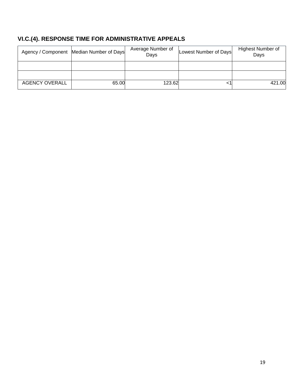# **VI.C.(4). RESPONSE TIME FOR ADMINISTRATIVE APPEALS**

|                       | Agency / Component Median Number of Days | Average Number of<br>Days | Lowest Number of Days | <b>Highest Number of</b><br>Days |
|-----------------------|------------------------------------------|---------------------------|-----------------------|----------------------------------|
|                       |                                          |                           |                       |                                  |
|                       |                                          |                           |                       |                                  |
| <b>AGENCY OVERALL</b> | 65.00                                    | 123.62                    |                       | 421.00                           |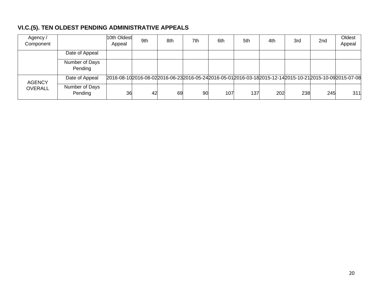# **VI.C.(5). TEN OLDEST PENDING ADMINISTRATIVE APPEALS**

| Agency /<br>Component |                           | 10th Oldest<br>Appeal                                                                                         | 9th | 8th | 7th | 6th | 5th | 4th | 3rd | 2 <sub>nd</sub> | Oldest<br>Appeal |
|-----------------------|---------------------------|---------------------------------------------------------------------------------------------------------------|-----|-----|-----|-----|-----|-----|-----|-----------------|------------------|
|                       | Date of Appeal            |                                                                                                               |     |     |     |     |     |     |     |                 |                  |
|                       | Number of Days<br>Pending |                                                                                                               |     |     |     |     |     |     |     |                 |                  |
| <b>AGENCY</b>         | Date of Appeal            | 2016-08-10 2016-08-02 2016-06-23 2016-05-24 2016-05-01 2016-03-18 2015-12-14 2015-10-21 2015-10-09 2015-07-08 |     |     |     |     |     |     |     |                 |                  |
| <b>OVERALL</b>        | Number of Days<br>Pending | 36                                                                                                            | 42  | 69  | 90  | 107 | 137 | 202 | 238 | 245             | 311              |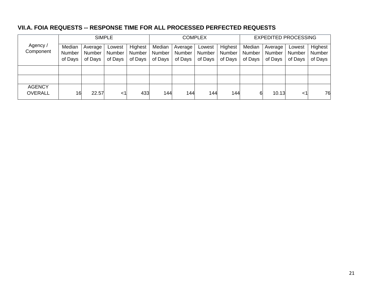### **VII.A. FOIA REQUESTS -- RESPONSE TIME FOR ALL PROCESSED PERFECTED REQUESTS**

|                                 |         |         | <b>SIMPLE</b> |         |         |         | COMPLEX |               |         | <b>EXPEDITED PROCESSING</b> |         |         |  |
|---------------------------------|---------|---------|---------------|---------|---------|---------|---------|---------------|---------|-----------------------------|---------|---------|--|
| Agency /<br>Component           | Median  | Average | Lowest        | Highest | Median  | Average | Lowest  | Highest       | Median  | Average                     | Lowest  | Highest |  |
|                                 | Number  | Number  | <b>Number</b> | Number  | Number  | Number  | Number  | <b>Number</b> | Number  | Number                      | Number  | Number  |  |
|                                 | of Days | of Days | of Days       | of Days | of Days | of Days | of Days | of Days       | of Days | of Days                     | of Days | of Days |  |
|                                 |         |         |               |         |         |         |         |               |         |                             |         |         |  |
|                                 |         |         |               |         |         |         |         |               |         |                             |         |         |  |
| <b>AGENCY</b><br><b>OVERALL</b> | 16      | 22.57   | ا>            | 433     | 144     | 144     | 144     | 144           | 6       | 10.13                       | <1      | 76      |  |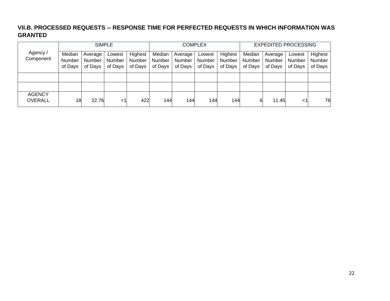### **VII.B. PROCESSED REQUESTS -- RESPONSE TIME FOR PERFECTED REQUESTS IN WHICH INFORMATION WAS GRANTED**

|                       |                   |                          | <b>SIMPLE</b>     |                          |                   |                   | <b>COMPLEX</b>    |                   | <b>EXPEDITED PROCESSING</b> |                   |                   |                   |
|-----------------------|-------------------|--------------------------|-------------------|--------------------------|-------------------|-------------------|-------------------|-------------------|-----------------------------|-------------------|-------------------|-------------------|
| Agency /<br>Component | Median            | Average                  | Lowest            | Highest                  | Median            | Average           | Lowest            | Highest           | Median                      | Average           | Lowest            | Highest           |
|                       | Number<br>of Days | <b>Number</b><br>of Days | Number<br>of Days | <b>Number</b><br>of Days | Number<br>of Days | Number<br>of Days | Number<br>of Days | Number<br>of Days | <b>Number</b><br>of Days    | Number<br>of Days | Number<br>of Days | Number<br>of Days |
|                       |                   |                          |                   |                          |                   |                   |                   |                   |                             |                   |                   |                   |
|                       |                   |                          |                   |                          |                   |                   |                   |                   |                             |                   |                   |                   |
|                       |                   |                          |                   |                          |                   |                   |                   |                   |                             |                   |                   |                   |
| <b>AGENCY</b>         |                   |                          |                   |                          |                   |                   |                   |                   |                             |                   |                   |                   |
| <b>OVERALL</b>        | 18                | 22.76                    | <1                | 422                      | 144               | 144               | 144               | 144               | 6                           | 11.45             | $<$ 1             | 76                |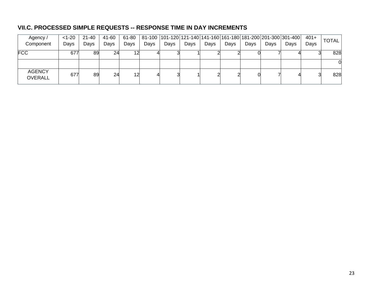## **VII.C. PROCESSED SIMPLE REQUESTS -- RESPONSE TIME IN DAY INCREMENTS**

| Agency /                        | $< 1 - 20$ | 21-40 | 41-60 | 61-80 |      |      |      |      |      |      |      | 81-100  101-120   121-140   141-160   161-180   181-200   201-300   301-400 | $401+$ | <b>TOTAL</b> |
|---------------------------------|------------|-------|-------|-------|------|------|------|------|------|------|------|-----------------------------------------------------------------------------|--------|--------------|
| Component                       | Days       | Days  | Days  | Days  | Days | Days | Days | Days | Days | Days | Days | Davs                                                                        | Days   |              |
| <b>FCC</b>                      | 677        | 89    | 24    |       |      |      |      |      |      |      |      |                                                                             |        | 828          |
|                                 |            |       |       |       |      |      |      |      |      |      |      |                                                                             |        |              |
| <b>AGENCY</b><br><b>OVERALL</b> | 677        | 89    | 24    |       |      |      |      |      |      |      |      |                                                                             |        | 828          |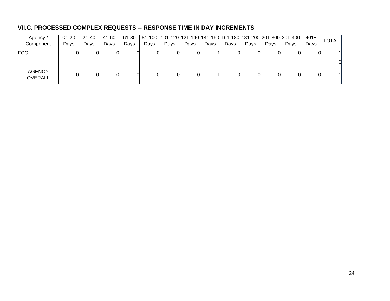## **VII.C. PROCESSED COMPLEX REQUESTS -- RESPONSE TIME IN DAY INCREMENTS**

| Agency /                        | $<1 - 20$ | $21 - 40$ | 41-60 | 61-80 |      |      |      |      |      |      |      | 81-100  101-120   121-140   141-160   161-180   181-200   201-300   301-400 | $401+$ | <b>TOTAL</b> |
|---------------------------------|-----------|-----------|-------|-------|------|------|------|------|------|------|------|-----------------------------------------------------------------------------|--------|--------------|
| Component                       | Days      | Days      | Days  | Days  | Days | Days | Days | Days | Days | Days | Days | Days                                                                        | Days   |              |
| <b>FCC</b>                      |           |           |       |       |      |      |      |      |      |      |      |                                                                             |        |              |
|                                 |           |           |       |       |      |      |      |      |      |      |      |                                                                             |        |              |
| <b>AGENCY</b><br><b>OVERALL</b> |           |           |       |       |      |      |      |      |      |      |      |                                                                             |        |              |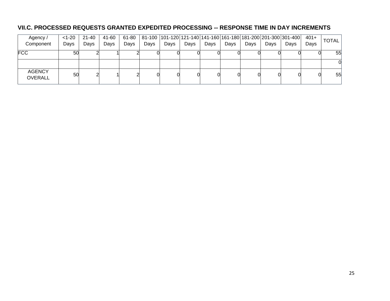## **VII.C. PROCESSED REQUESTS GRANTED EXPEDITED PROCESSING -- RESPONSE TIME IN DAY INCREMENTS**

| Agency /                        | $< 1 - 20$ | 21-40 | 41-60 | 61-80 |      |      |      |      |      |      |      | 81-100  101-120   121-140   141-160   161-180   181-200   201-300   301-400 | $401+$ | <b>TOTAL</b> |
|---------------------------------|------------|-------|-------|-------|------|------|------|------|------|------|------|-----------------------------------------------------------------------------|--------|--------------|
| Component                       | Days       | Days  | Days  | Days  | Days | Days | Days | Days | Days | Days | Days | Days                                                                        | Days   |              |
| <b>FCC</b>                      | 50         |       |       |       |      |      |      |      |      |      |      |                                                                             |        | 55           |
|                                 |            |       |       |       |      |      |      |      |      |      |      |                                                                             |        |              |
| <b>AGENCY</b><br><b>OVERALL</b> | 50         |       |       |       |      |      |      |      |      |      |      |                                                                             |        | 55           |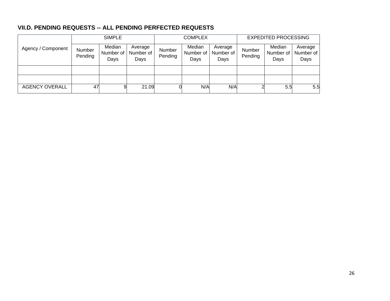## **VII.D. PENDING REQUESTS -- ALL PENDING PERFECTED REQUESTS**

|                       | <b>SIMPLE</b>     |                             |                              |                   | <b>COMPLEX</b>              |                              | <b>EXPEDITED PROCESSING</b> |                             |                              |  |
|-----------------------|-------------------|-----------------------------|------------------------------|-------------------|-----------------------------|------------------------------|-----------------------------|-----------------------------|------------------------------|--|
| Agency / Component    | Number<br>Pending | Median<br>Number of<br>Days | Average<br>Number of<br>Days | Number<br>Pending | Median<br>Number of<br>Days | Average<br>Number of<br>Days | Number<br>Pending           | Median<br>Number of<br>Days | Average<br>Number of<br>Days |  |
|                       |                   |                             |                              |                   |                             |                              |                             |                             |                              |  |
|                       |                   |                             |                              |                   |                             |                              |                             |                             |                              |  |
| <b>AGENCY OVERALL</b> | 47                |                             | 21.09                        |                   | N/A                         | N/A                          |                             | 5.5                         | 5.5                          |  |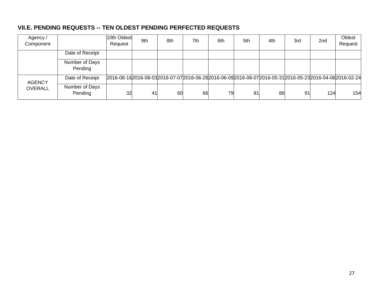## **VII.E. PENDING REQUESTS -- TEN OLDEST PENDING PERFECTED REQUESTS**

| Agency /<br>Component |                           | 10th Oldest<br>Request                                                                               | 9th | 8th | 7th | 6th | 5th | 4th | 3rd | 2 <sub>nd</sub> | Oldest<br>Request |
|-----------------------|---------------------------|------------------------------------------------------------------------------------------------------|-----|-----|-----|-----|-----|-----|-----|-----------------|-------------------|
|                       | Date of Receipt           |                                                                                                      |     |     |     |     |     |     |     |                 |                   |
|                       | Number of Days<br>Pending |                                                                                                      |     |     |     |     |     |     |     |                 |                   |
| <b>AGENCY</b>         | Date of Receipt           | 2016-08-162016-08-032016-07-072016-06-282016-06-092016-06-072016-05-312016-05-232016-04-062016-02-24 |     |     |     |     |     |     |     |                 |                   |
| <b>OVERALL</b>        | Number of Days<br>Pending | 32                                                                                                   | 41  | 60  | 66  | 79  | 81  | 86  | 91  | 124             | 154               |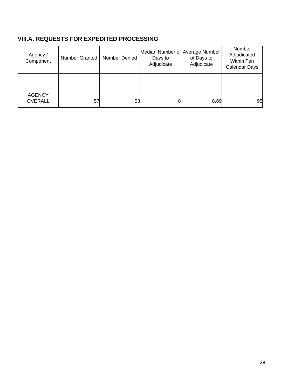## **VIII.A. REQUESTS FOR EXPEDITED PROCESSING**

| Agency /<br>Component           | Number Granted | Number Denied | Median Number of Average Number<br>Days to<br>Adjudicate | of Days to<br>Adjudicate | Number<br>Adjudicated<br>Within Ten<br>Calendar Days |
|---------------------------------|----------------|---------------|----------------------------------------------------------|--------------------------|------------------------------------------------------|
|                                 |                |               |                                                          |                          |                                                      |
|                                 |                |               |                                                          |                          |                                                      |
| <b>AGENCY</b><br><b>OVERALL</b> | 57             | 53            |                                                          | 8.69                     | 95                                                   |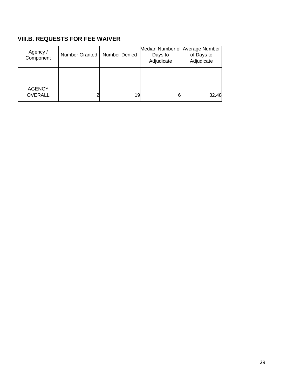# **VIII.B. REQUESTS FOR FEE WAIVER**

| Agency /<br>Component           | Number Granted | <b>Number Denied</b> | Median Number of Average Number<br>Days to<br>Adjudicate | of Days to<br>Adjudicate |
|---------------------------------|----------------|----------------------|----------------------------------------------------------|--------------------------|
|                                 |                |                      |                                                          |                          |
|                                 |                |                      |                                                          |                          |
| <b>AGENCY</b><br><b>OVERALL</b> |                | 19                   |                                                          | 32.48                    |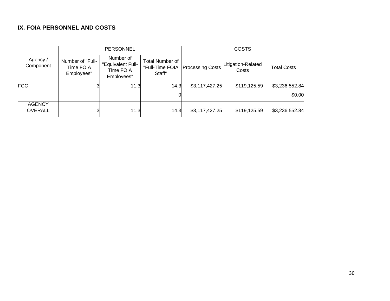## **IX. FOIA PERSONNEL AND COSTS**

|                                 |                                             | <b>PERSONNEL</b>                                          |                                                     |                         | <b>COSTS</b>                |                    |
|---------------------------------|---------------------------------------------|-----------------------------------------------------------|-----------------------------------------------------|-------------------------|-----------------------------|--------------------|
| Agency /<br>Component           | Number of "Full-<br>Time FOIA<br>Employees" | Number of<br>"Equivalent Full-<br>Time FOIA<br>Employees" | <b>Total Number of</b><br>"Full-Time FOIA<br>Staff" | <b>Processing Costs</b> | Litigation-Related<br>Costs | <b>Total Costs</b> |
| <b>FCC</b>                      |                                             | 11.3                                                      | 14.3                                                | \$3,117,427.25          | \$119,125.59                | \$3,236,552.84     |
|                                 |                                             |                                                           |                                                     |                         |                             | \$0.00             |
| <b>AGENCY</b><br><b>OVERALL</b> |                                             | 11.3                                                      | 14.3                                                | \$3,117,427.25          | \$119,125.59                | \$3,236,552.84     |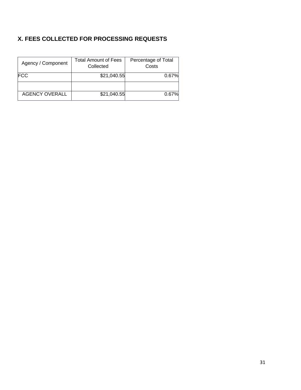## **X. FEES COLLECTED FOR PROCESSING REQUESTS**

| Agency / Component    | Total Amount of Fees<br>Collected | Percentage of Total<br>Costs |
|-----------------------|-----------------------------------|------------------------------|
| <b>FCC</b>            | \$21,040.55                       | 0.67%                        |
|                       |                                   |                              |
| <b>AGENCY OVERALL</b> | \$21,040.55                       | 0.67%                        |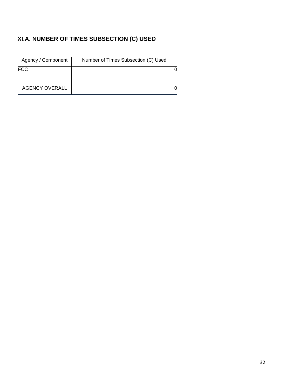# **XI.A. NUMBER OF TIMES SUBSECTION (C) USED**

| Agency / Component    | Number of Times Subsection (C) Used |  |
|-----------------------|-------------------------------------|--|
| <b>FCC</b>            |                                     |  |
|                       |                                     |  |
| <b>AGENCY OVERALL</b> |                                     |  |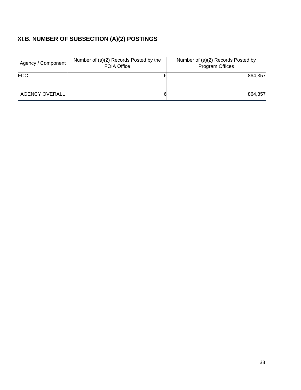# **XI.B. NUMBER OF SUBSECTION (A)(2) POSTINGS**

| Agency / Component | Number of (a)(2) Records Posted by the<br><b>FOIA Office</b> | Number of (a)(2) Records Posted by<br>Program Offices |
|--------------------|--------------------------------------------------------------|-------------------------------------------------------|
| <b>FCC</b>         |                                                              | 864,357                                               |
|                    |                                                              |                                                       |
| AGENCY OVERALL     | 6                                                            | 864,357                                               |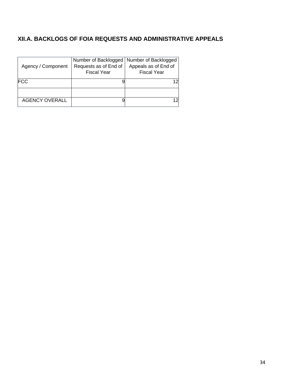## **XII.A. BACKLOGS OF FOIA REQUESTS AND ADMINISTRATIVE APPEALS**

| Agency / Component    | Number of Backlogged   Number of Backlogged<br>Requests as of End of<br><b>Fiscal Year</b> | Appeals as of End of<br><b>Fiscal Year</b> |
|-----------------------|--------------------------------------------------------------------------------------------|--------------------------------------------|
| <b>FCC</b>            |                                                                                            |                                            |
|                       |                                                                                            |                                            |
| <b>AGENCY OVERALL</b> |                                                                                            |                                            |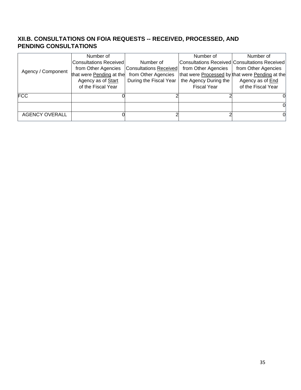### **XII.B. CONSULTATIONS ON FOIA REQUESTS -- RECEIVED, PROCESSED, AND PENDING CONSULTATIONS**

|                       | Number of                     |                               | Number of             | Number of                                       |
|-----------------------|-------------------------------|-------------------------------|-----------------------|-------------------------------------------------|
|                       | <b>Consultations Received</b> | Number of                     |                       | Consultations Received Consultations Received   |
| Agency / Component    | from Other Agencies           | <b>Consultations Received</b> | from Other Agencies   | from Other Agencies                             |
|                       | that were Pending at the      | from Other Agencies           |                       | that were Processed by that were Pending at the |
|                       | Agency as of Start            | During the Fiscal Year        | the Agency During the | Agency as of End                                |
|                       | of the Fiscal Year            |                               | <b>Fiscal Year</b>    | of the Fiscal Year                              |
| <b>FCC</b>            |                               |                               |                       |                                                 |
|                       |                               |                               |                       |                                                 |
| <b>AGENCY OVERALL</b> |                               |                               |                       |                                                 |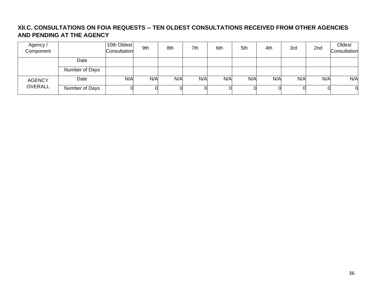### **XII.C. CONSULTATIONS ON FOIA REQUESTS -- TEN OLDEST CONSULTATIONS RECEIVED FROM OTHER AGENCIES AND PENDING AT THE AGENCY**

| Agency /<br>Component |                | 10th Oldest<br>Consultation | 9th | 8th | 7th | 6th | 5th | 4th | 3rd | 2nd | Oldest<br>Consultation |
|-----------------------|----------------|-----------------------------|-----|-----|-----|-----|-----|-----|-----|-----|------------------------|
|                       | Date           |                             |     |     |     |     |     |     |     |     |                        |
|                       | Number of Days |                             |     |     |     |     |     |     |     |     |                        |
| <b>AGENCY</b>         | Date           | N/A                         | N/A | N/A | N/A | N/A | N/A | N/A | N/A | N/A | N/A                    |
| <b>OVERALL</b>        | Number of Days |                             |     |     |     |     |     |     |     |     |                        |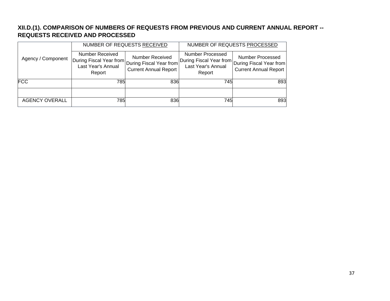## **XII.D.(1). COMPARISON OF NUMBERS OF REQUESTS FROM PREVIOUS AND CURRENT ANNUAL REPORT -- REQUESTS RECEIVED AND PROCESSED**

|                       |                                                                                                    | NUMBER OF REQUESTS RECEIVED                            |                                                                             | NUMBER OF REQUESTS PROCESSED                                                |
|-----------------------|----------------------------------------------------------------------------------------------------|--------------------------------------------------------|-----------------------------------------------------------------------------|-----------------------------------------------------------------------------|
| Agency / Component    | Number Received<br>During Fiscal Year from During Fiscal Year from<br>Last Year's Annual<br>Report | <b>Number Received</b><br><b>Current Annual Report</b> | Number Processed<br>During Fiscal Year from<br>Last Year's Annual<br>Report | Number Processed<br>During Fiscal Year from<br><b>Current Annual Report</b> |
| <b>FCC</b>            | 785                                                                                                | 836                                                    | 745                                                                         | 893                                                                         |
|                       |                                                                                                    |                                                        |                                                                             |                                                                             |
| <b>AGENCY OVERALL</b> | 785                                                                                                | 836                                                    | 745                                                                         | 893                                                                         |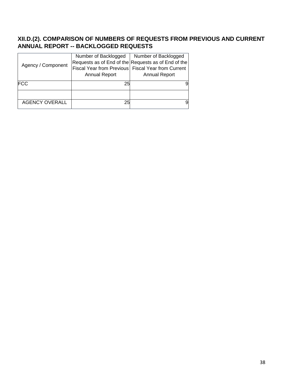## **XII.D.(2). COMPARISON OF NUMBERS OF REQUESTS FROM PREVIOUS AND CURRENT ANNUAL REPORT -- BACKLOGGED REQUESTS**

|                       | Number of Backlogged                               | Number of Backlogged                                |
|-----------------------|----------------------------------------------------|-----------------------------------------------------|
|                       |                                                    | Requests as of End of the Requests as of End of the |
| Agency / Component    | Fiscal Year from Previous Fiscal Year from Current |                                                     |
|                       | <b>Annual Report</b>                               | Annual Report                                       |
| <b>FCC</b>            | 25                                                 | 9                                                   |
|                       |                                                    |                                                     |
|                       |                                                    |                                                     |
| <b>AGENCY OVERALL</b> | 25                                                 | 9                                                   |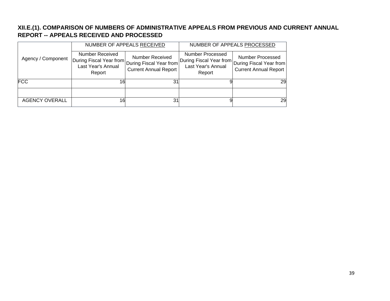### **XII.E.(1). COMPARISON OF NUMBERS OF ADMINISTRATIVE APPEALS FROM PREVIOUS AND CURRENT ANNUAL REPORT -- APPEALS RECEIVED AND PROCESSED**

|                       |                                                                                                       | NUMBER OF APPEALS RECEIVED                             | NUMBER OF APPEALS PROCESSED                                                 |                                                                             |  |
|-----------------------|-------------------------------------------------------------------------------------------------------|--------------------------------------------------------|-----------------------------------------------------------------------------|-----------------------------------------------------------------------------|--|
| Agency / Component    | Number Received<br> During Fiscal Year from During Fiscal Year from  <br>Last Year's Annual<br>Report | <b>Number Received</b><br><b>Current Annual Report</b> | Number Processed<br>During Fiscal Year from<br>Last Year's Annual<br>Report | Number Processed<br>During Fiscal Year from<br><b>Current Annual Report</b> |  |
| <b>FCC</b>            | 16                                                                                                    | 31                                                     |                                                                             | 29                                                                          |  |
|                       |                                                                                                       |                                                        |                                                                             |                                                                             |  |
| <b>AGENCY OVERALL</b> | 16                                                                                                    | 31                                                     |                                                                             | 29                                                                          |  |